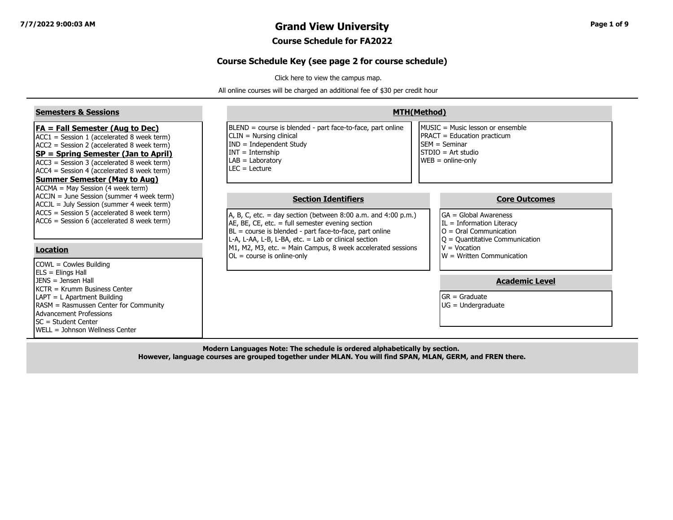### **7/7/2022 9:00:03 AM Grand View University Page 1 of 9**

#### **Course Schedule for FA2022**

#### **Course Schedule Key (see page 2 for course schedule)**

[Click here to view the campus map.](https://www.grandview.edu/filesimages/PDF/AboutGV/CampusDirections/gv_campus_map.pdf)

All online courses will be charged an additional fee of \$30 per credit hour

| <b>Semesters &amp; Sessions</b>                                                                                                                                                                                                                                                                                           |                                                                                                                                                                                                                                                                                                                                                                         | <b>MTH(Method)</b>                                                                                                                                                                                       |
|---------------------------------------------------------------------------------------------------------------------------------------------------------------------------------------------------------------------------------------------------------------------------------------------------------------------------|-------------------------------------------------------------------------------------------------------------------------------------------------------------------------------------------------------------------------------------------------------------------------------------------------------------------------------------------------------------------------|----------------------------------------------------------------------------------------------------------------------------------------------------------------------------------------------------------|
| <b>FA = Fall Semester (Aug to Dec)</b><br>$ACC1 = Session 1 (accelerated 8 week term)$<br>$ACC2 = Session 2 (accelerated 8 week term)$<br><b>SP = Spring Semester (Jan to April)</b><br>ACC3 = Session 3 (accelerated 8 week term)<br>$ACC4 = Session 4 (accelerated 8 week term)$<br><b>Summer Semester (May to Aug)</b> | BLEND = course is blended - part face-to-face, part online<br>CLIN = Nursing clinical<br>$IND = Independent Study$<br>$INT = Internship$<br>$LAB = Laboratory$<br>$LEC = Lecture$                                                                                                                                                                                       | MUSIC = Music lesson or ensemble<br><b>PRACT</b> = Education practicum<br><b>ISEM</b> = Seminar<br>STDIO = Art studio<br>$WEB = online-only$                                                             |
| ACCMA = May Session (4 week term)<br>ACCJN = June Session (summer 4 week term)<br>ACCJL = July Session (summer 4 week term)<br>ACC5 = Session 5 (accelerated 8 week term)<br>ACC6 = Session 6 (accelerated 8 week term)<br>Location<br>COWL = Cowles Building                                                             | <b>Section Identifiers</b><br>A, B, C, etc. = day section (between $8:00$ a.m. and $4:00$ p.m.)<br>AE, BE, CE, etc. $=$ full semester evening section<br>BL = course is blended - part face-to-face, part online<br>L-A, L-AA, L-B, L-BA, etc. = Lab or clinical section<br>M1, M2, M3, etc. = Main Campus, 8 week accelerated sessions<br>$OL = course$ is online-only | <b>Core Outcomes</b><br><b>I</b> GA = Global Awareness<br>$IL = Information Literary$<br>$O =$ Oral Communication<br>$ Q =$ Quantitative Communication<br>$V = Vocation$<br>$W = W$ ritten Communication |
| $ ELS = Elings Hall$<br>$IFNS = Jensen Hall$<br>IKCTR = Krumm Business Center<br>LAPT = L Apartment Building<br>RASM = Rasmussen Center for Community<br>Advancement Professions<br>ISC = Student Center<br><b>IWELL = Johnson Wellness Center</b>                                                                        |                                                                                                                                                                                                                                                                                                                                                                         | <b>Academic Level</b><br>$GR = Graduate$<br>$UG = Undergraduate$                                                                                                                                         |

**Modern Languages Note: The schedule is ordered alphabetically by section. However, language courses are grouped together under MLAN. You will find SPAN, MLAN, GERM, and FREN there.**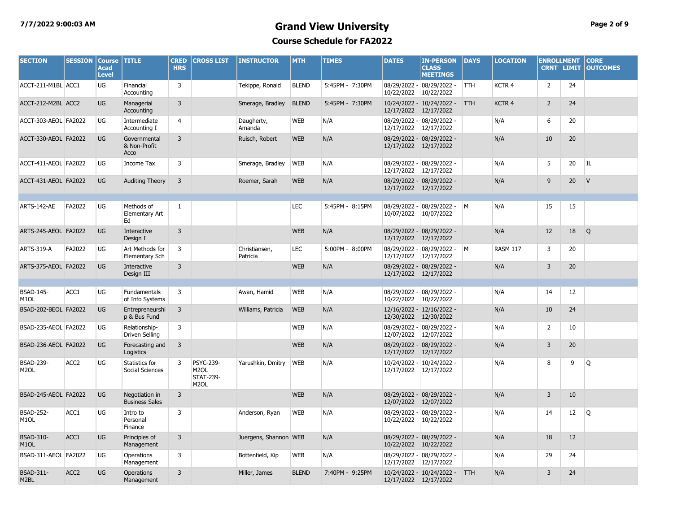### **7/7/2022 9:00:03 AM Grand View University Page 2 of 9 Course Schedule for FA2022**

| <b>SECTION</b>                        | <b>SESSION</b>   | Course TITLE<br><b>Acad</b><br><b>Level</b> |                                         | <b>CRED</b><br><b>HRS</b> | <b>CROSS LIST</b>                                                              | <b>INSTRUCTOR</b>         | <b>MTH</b>   | <b>TIMES</b>    | <b>DATES</b>          | <b>IN-PERSON</b><br><b>CLASS</b><br><b>MEETINGS</b> | <b>DAYS</b> | <b>LOCATION</b>   | <b>ENROLLMENT</b> | <b>CRNT LIMIT</b> | <b>CORE</b><br><b>OUTCOMES</b> |
|---------------------------------------|------------------|---------------------------------------------|-----------------------------------------|---------------------------|--------------------------------------------------------------------------------|---------------------------|--------------|-----------------|-----------------------|-----------------------------------------------------|-------------|-------------------|-------------------|-------------------|--------------------------------|
| ACCT-211-M1BL ACC1                    |                  | <b>UG</b>                                   | Financial<br>Accounting                 | $\overline{3}$            |                                                                                | Tekippe, Ronald           | <b>BLEND</b> | 5:45PM - 7:30PM | 10/22/2022            | 08/29/2022 - 08/29/2022 -<br>10/22/2022             | <b>TTH</b>  | KCTR <sub>4</sub> | $\overline{2}$    | 24                |                                |
| ACCT-212-M2BL ACC2                    |                  | <b>UG</b>                                   | Managerial<br>Accounting                | $\overline{3}$            |                                                                                | Smerage, Bradley          | <b>BLEND</b> | 5:45PM - 7:30PM | 12/17/2022            | 10/24/2022 - 10/24/2022 -<br>12/17/2022             | <b>TTH</b>  | KCTR 4            | $\overline{2}$    | 24                |                                |
| ACCT-303-AEOL FA2022                  |                  | UG                                          | Intermediate<br>Accounting I            | 4                         |                                                                                | Daugherty,<br>Amanda      | <b>WEB</b>   | N/A             | 12/17/2022 12/17/2022 | 08/29/2022 - 08/29/2022 -                           |             | N/A               | 6                 | 20                |                                |
| ACCT-330-AEOL FA2022                  |                  | <b>UG</b>                                   | Governmental<br>& Non-Profit<br>Acco    | 3                         |                                                                                | Ruisch, Robert            | <b>WEB</b>   | N/A             | 12/17/2022 12/17/2022 | 08/29/2022 - 08/29/2022 -                           |             | N/A               | 10                | 20                |                                |
| ACCT-411-AEOL FA2022                  |                  | UG                                          | Income Tax                              | 3                         |                                                                                | Smerage, Bradley          | <b>WEB</b>   | N/A             | 12/17/2022            | 08/29/2022 - 08/29/2022 -<br>12/17/2022             |             | N/A               | 5                 | 20                | IL                             |
| ACCT-431-AEOL FA2022                  |                  | <b>UG</b>                                   | <b>Auditing Theory</b>                  | $\overline{3}$            |                                                                                | Roemer, Sarah             | <b>WEB</b>   | N/A             | 12/17/2022 12/17/2022 | 08/29/2022 - 08/29/2022 -                           |             | N/A               | 9                 | 20                | V                              |
| ARTS-142-AE                           | FA2022           | <b>UG</b>                                   | Methods of<br>Elementary Art<br>Ed      | -1                        |                                                                                |                           | <b>LEC</b>   | 5:45PM - 8:15PM | 10/07/2022            | 08/29/2022 - 08/29/2022 - M<br>10/07/2022           |             | N/A               | 15                | 15                |                                |
| ARTS-245-AEOL FA2022                  |                  | <b>UG</b>                                   | <b>Interactive</b><br>Design I          | 3                         |                                                                                |                           | <b>WEB</b>   | N/A             | 12/17/2022 12/17/2022 | 08/29/2022 - 08/29/2022 -                           |             | N/A               | 12                | 18                | Q                              |
| ARTS-319-A                            | FA2022           | UG                                          | Art Methods for<br>Elementary Sch       | 3                         |                                                                                | Christiansen,<br>Patricia | <b>LEC</b>   | 5:00PM - 8:00PM | 12/17/2022 12/17/2022 | 08/29/2022 - 08/29/2022 -                           | <b>M</b>    | <b>RASM 117</b>   | 3                 | 20                |                                |
| ARTS-375-AEOL FA2022                  |                  | <b>UG</b>                                   | Interactive<br>Design III               | 3                         |                                                                                |                           | <b>WEB</b>   | N/A             | 12/17/2022 12/17/2022 | 08/29/2022 - 08/29/2022 -                           |             | N/A               | 3                 | 20                |                                |
| <b>BSAD-145-</b><br>M <sub>1</sub> OL | ACC1             | UG                                          | <b>Fundamentals</b><br>of Info Systems  | 3                         |                                                                                | Awan, Hamid               | <b>WEB</b>   | N/A             | 10/22/2022 10/22/2022 | 08/29/2022 - 08/29/2022 -                           |             | N/A               | 14                | 12                |                                |
| BSAD-202-BEOL FA2022                  |                  | <b>UG</b>                                   | Entrepreneurshi<br>p & Bus Fund         | 3                         |                                                                                | Williams, Patricia        | <b>WEB</b>   | N/A             | 12/30/2022 12/30/2022 | 12/16/2022 - 12/16/2022 -                           |             | N/A               | 10                | 24                |                                |
| BSAD-235-AEOL FA2022                  |                  | UG                                          | Relationship-<br>Driven Selling         | 3                         |                                                                                |                           | <b>WEB</b>   | N/A             | 12/07/2022 12/07/2022 | 08/29/2022 - 08/29/2022 -                           |             | N/A               | $\overline{2}$    | 10                |                                |
| BSAD-236-AEOL FA2022                  |                  | <b>UG</b>                                   | Forecasting and<br>Logistics            | 3                         |                                                                                |                           | <b>WEB</b>   | N/A             | 12/17/2022            | 08/29/2022 - 08/29/2022 -<br>12/17/2022             |             | N/A               | 3                 | 20                |                                |
| <b>BSAD-239-</b><br>M <sub>2</sub> OL | ACC <sub>2</sub> | UG                                          | Statistics for<br>Social Sciences       | 3                         | <b>PSYC-239-</b><br>M <sub>2</sub> OL<br><b>STAT-239-</b><br>M <sub>2</sub> OL | Yarushkin, Dmitry         | <b>WEB</b>   | N/A             | 12/17/2022 12/17/2022 | 10/24/2022 - 10/24/2022 -                           |             | N/A               | 8                 | 9                 | Q                              |
| BSAD-245-AEOL FA2022                  |                  | <b>UG</b>                                   | Negotiation in<br><b>Business Sales</b> | 3                         |                                                                                |                           | <b>WEB</b>   | N/A             | 12/07/2022            | 08/29/2022 - 08/29/2022 -<br>12/07/2022             |             | N/A               | 3                 | 10                |                                |
| <b>BSAD-252-</b><br>M <sub>1</sub> OL | ACC1             | UG                                          | Intro to<br>Personal<br>Finance         | 3                         |                                                                                | Anderson, Ryan            | <b>WEB</b>   | N/A             | 10/22/2022            | 08/29/2022 - 08/29/2022 -<br>10/22/2022             |             | N/A               | 14                | $12 \overline{ }$ | Q                              |
| <b>BSAD-310-</b><br>M <sub>1</sub> OL | ACC1             | <b>UG</b>                                   | Principles of<br>Management             | 3                         |                                                                                | Juergens, Shannon WEB     |              | N/A             | 10/22/2022            | 08/29/2022 - 08/29/2022 -<br>10/22/2022             |             | N/A               | 18                | 12                |                                |
| BSAD-311-AEOL FA2022                  |                  | UG                                          | Operations<br>Management                | 3                         |                                                                                | Bottenfield, Kip          | <b>WEB</b>   | N/A             | 12/17/2022 12/17/2022 | 08/29/2022 - 08/29/2022 -                           |             | N/A               | 29                | 24                |                                |
| <b>BSAD-311-</b><br>M <sub>2</sub> BL | ACC <sub>2</sub> | <b>UG</b>                                   | Operations<br>Management                | 3                         |                                                                                | Miller, James             | <b>BLEND</b> | 7:40PM - 9:25PM | 12/17/2022 12/17/2022 | 10/24/2022 - 10/24/2022 -                           | <b>TTH</b>  | N/A               | 3                 | 24                |                                |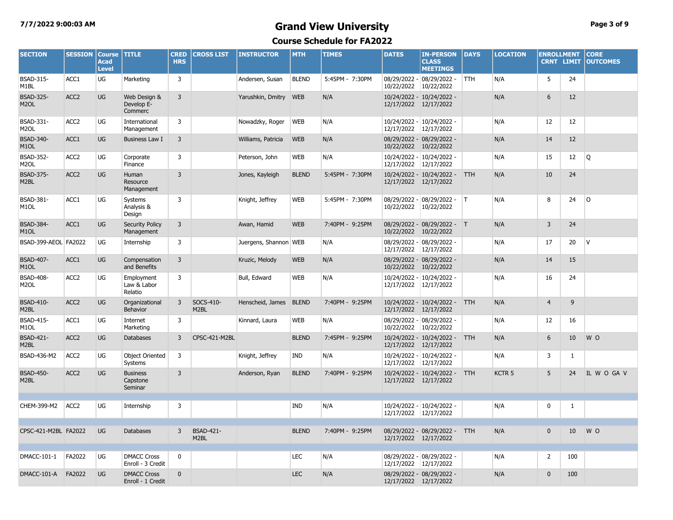# **7/7/2022 9:00:03 AM Grand View University Page 3 of 9**

| <b>SECTION</b>                        | <b>SESSION</b>   | <b>Course</b><br><b>Acad</b><br><b>Level</b> | <b>TITLE</b>                            | <b>CRED</b><br><b>HRS</b> | <b>CROSS LIST</b>                     | <b>INSTRUCTOR</b>      | <b>MTH</b>   | <b>TIMES</b>    | <b>DATES</b>          | <b>IN-PERSON</b><br><b>CLASS</b><br><b>MEETINGS</b> | <b>DAYS</b> | <b>LOCATION</b> | <b>ENROLLMENT</b><br><b>CRNT LIMIT</b> |              | <b>CORE</b><br><b>OUTCOMES</b> |
|---------------------------------------|------------------|----------------------------------------------|-----------------------------------------|---------------------------|---------------------------------------|------------------------|--------------|-----------------|-----------------------|-----------------------------------------------------|-------------|-----------------|----------------------------------------|--------------|--------------------------------|
| <b>BSAD-315-</b><br>M <sub>1</sub> BL | ACC1             | UG                                           | Marketing                               | 3                         |                                       | Andersen, Susan        | <b>BLEND</b> | 5:45PM - 7:30PM | 10/22/2022 10/22/2022 | 08/29/2022 - 08/29/2022 -                           | <b>TTH</b>  | N/A             | 5                                      | 24           |                                |
| <b>BSAD-325-</b><br>M <sub>2</sub> OL | ACC <sub>2</sub> | UG                                           | Web Design &<br>Develop E-<br>Commerc   | $\overline{3}$            |                                       | Yarushkin, Dmitry      | <b>WEB</b>   | N/A             | 12/17/2022 12/17/2022 | 10/24/2022 - 10/24/2022 -                           |             | N/A             | 6                                      | 12           |                                |
| BSAD-331-<br>M <sub>2</sub> OL        | ACC <sub>2</sub> | UG                                           | International<br>Management             | 3                         |                                       | Nowadzky, Roger        | <b>WEB</b>   | N/A             | 12/17/2022 12/17/2022 | 10/24/2022 - 10/24/2022 -                           |             | N/A             | 12                                     | 12           |                                |
| <b>BSAD-340-</b><br>M <sub>1</sub> OL | ACC1             | <b>UG</b>                                    | Business Law I                          | 3                         |                                       | Williams, Patricia     | <b>WEB</b>   | N/A             | 10/22/2022 10/22/2022 | 08/29/2022 - 08/29/2022 -                           |             | N/A             | 14                                     | 12           |                                |
| <b>BSAD-352-</b><br>M <sub>2</sub> OL | ACC <sub>2</sub> | UG                                           | Corporate<br>Finance                    | 3                         |                                       | Peterson, John         | <b>WEB</b>   | N/A             | 12/17/2022            | 10/24/2022 - 10/24/2022 -<br>12/17/2022             |             | N/A             | 15                                     | 12           | Q                              |
| <b>BSAD-375-</b><br>M2BL              | ACC <sub>2</sub> | UG                                           | Human<br>Resource<br>Management         | $\overline{3}$            |                                       | Jones, Kayleigh        | <b>BLEND</b> | 5:45PM - 7:30PM | 12/17/2022 12/17/2022 | 10/24/2022 - 10/24/2022 - TTH                       |             | N/A             | 10                                     | 24           |                                |
| <b>BSAD-381-</b><br>M <sub>1</sub> OL | ACC1             | UG                                           | Systems<br>Analysis &<br>Design         | 3                         |                                       | Knight, Jeffrey        | <b>WEB</b>   | 5:45PM - 7:30PM | 10/22/2022            | 08/29/2022 - 08/29/2022 - T<br>10/22/2022           |             | N/A             | 8                                      | 24           | l O                            |
| <b>BSAD-384-</b><br>M <sub>1</sub> OL | ACC1             | UG                                           | <b>Security Policy</b><br>Management    | 3                         |                                       | Awan, Hamid            | <b>WEB</b>   | 7:40PM - 9:25PM | 10/22/2022 10/22/2022 | 08/29/2022 - 08/29/2022 - T                         |             | N/A             | 3                                      | 24           |                                |
| BSAD-399-AEOL FA2022                  |                  | UG                                           | Internship                              | 3                         |                                       | Juergens, Shannon WEB  |              | N/A             | 12/17/2022 12/17/2022 | 08/29/2022 - 08/29/2022 -                           |             | N/A             | 17                                     | 20           | IV.                            |
| <b>BSAD-407-</b><br>M <sub>1</sub> OL | ACC1             | UG                                           | Compensation<br>and Benefits            | $\overline{3}$            |                                       | Kruzic, Melody         | <b>WEB</b>   | N/A             | 10/22/2022            | 08/29/2022 - 08/29/2022 -<br>10/22/2022             |             | N/A             | 14                                     | 15           |                                |
| <b>BSAD-408-</b><br>M2OL              | ACC <sub>2</sub> | UG                                           | Employment<br>Law & Labor<br>Relatio    | 3                         |                                       | Bull, Edward           | <b>WEB</b>   | N/A             | 12/17/2022 12/17/2022 | 10/24/2022 - 10/24/2022 -                           |             | N/A             | 16                                     | 24           |                                |
| <b>BSAD-410-</b><br>M2BL              | ACC <sub>2</sub> | UG                                           | Organizational<br>Behavior              | 3                         | SOCS-410-<br>M <sub>2BL</sub>         | Henscheid, James BLEND |              | 7:40PM - 9:25PM | 12/17/2022 12/17/2022 | 10/24/2022 - 10/24/2022 - TTH                       |             | N/A             | $\overline{4}$                         | 9            |                                |
| <b>BSAD-415-</b><br>M <sub>1</sub> OL | ACC1             | UG                                           | Internet<br>Marketing                   | 3                         |                                       | Kinnard, Laura         | <b>WEB</b>   | N/A             | 10/22/2022            | 08/29/2022 - 08/29/2022 -<br>10/22/2022             |             | N/A             | 12                                     | 16           |                                |
| <b>BSAD-421-</b><br>M <sub>2</sub> BL | ACC <sub>2</sub> | <b>UG</b>                                    | <b>Databases</b>                        | 3                         | CPSC-421-M2BL                         |                        | <b>BLEND</b> | 7:45PM - 9:25PM | 12/17/2022 12/17/2022 | 10/24/2022 - 10/24/2022 - TTH                       |             | N/A             | 6                                      | 10           | W O                            |
| BSAD-436-M2                           | ACC <sub>2</sub> | UG                                           | <b>Object Oriented</b><br>Systems       | 3                         |                                       | Knight, Jeffrey        | IND          | N/A             | 12/17/2022 12/17/2022 | 10/24/2022 - 10/24/2022 -                           |             | N/A             | 3                                      | $\mathbf{1}$ |                                |
| <b>BSAD-450-</b><br>M <sub>2</sub> BL | ACC <sub>2</sub> | UG                                           | <b>Business</b><br>Capstone<br>Seminar  | $\overline{3}$            |                                       | Anderson, Ryan         | <b>BLEND</b> | 7:40PM - 9:25PM | 12/17/2022 12/17/2022 | 10/24/2022 - 10/24/2022 - TTH                       |             | <b>KCTR5</b>    | 5                                      | 24           | IL W O GA V                    |
| CHEM-399-M2                           | ACC <sub>2</sub> | UG                                           | Internship                              | 3                         |                                       |                        | <b>IND</b>   | N/A             | 12/17/2022 12/17/2022 | 10/24/2022 - 10/24/2022 -                           |             | N/A             | 0                                      | 1            |                                |
| CPSC-421-M2BL FA2022                  |                  | <b>UG</b>                                    | <b>Databases</b>                        | $\overline{3}$            | <b>BSAD-421-</b><br>M <sub>2</sub> BL |                        | <b>BLEND</b> | 7:40PM - 9:25PM | 12/17/2022 12/17/2022 | 08/29/2022 - 08/29/2022 - TTH                       |             | N/A             | $\Omega$                               | 10           | W O                            |
| DMACC-101-1                           | FA2022           | UG                                           | <b>DMACC Cross</b><br>Enroll - 3 Credit | 0                         |                                       |                        | LEC          | N/A             | 12/17/2022 12/17/2022 | 08/29/2022 - 08/29/2022 -                           |             | N/A             | $\overline{2}$                         | 100          |                                |
| DMACC-101-A                           | FA2022           | <b>UG</b>                                    | <b>DMACC Cross</b><br>Enroll - 1 Credit | $\mathbf 0$               |                                       |                        | <b>LEC</b>   | N/A             | 12/17/2022 12/17/2022 | 08/29/2022 - 08/29/2022 -                           |             | N/A             | $\mathbf 0$                            | 100          |                                |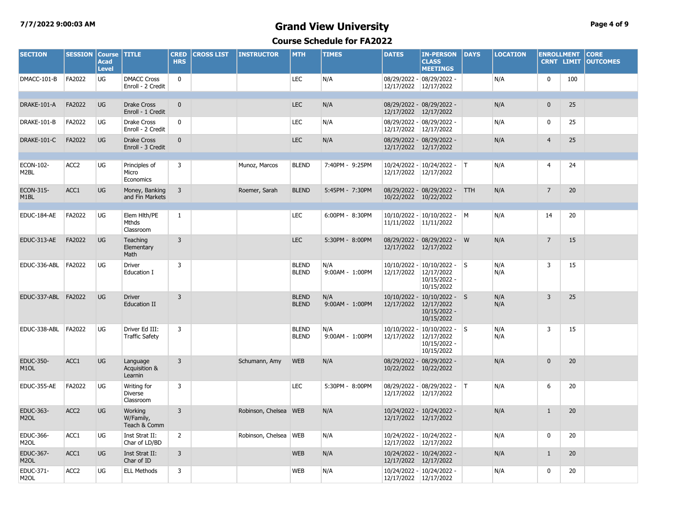# **7/7/2022 9:00:03 AM Grand View University Page 4 of 9**

| <b>SECTION</b>                        | <b>SESSION</b>   | <b>Course</b><br><b>Acad</b><br><b>Level</b> | <b>TITLE</b>                            | <b>CRED</b><br><b>HRS</b> | <b>CROSS LIST</b> | <b>INSTRUCTOR</b>       | <b>MTH</b>                   | <b>TIMES</b>           | <b>DATES</b>                 | <b>IN-PERSON</b><br><b>CLASS</b><br><b>MEETINGS</b>                       | <b>DAYS</b> | <b>LOCATION</b> | <b>ENROLLMENT</b> | <b>CRNT LIMIT</b> | <b>CORE</b><br><b>OUTCOMES</b> |
|---------------------------------------|------------------|----------------------------------------------|-----------------------------------------|---------------------------|-------------------|-------------------------|------------------------------|------------------------|------------------------------|---------------------------------------------------------------------------|-------------|-----------------|-------------------|-------------------|--------------------------------|
| DMACC-101-B                           | FA2022           | UG                                           | <b>DMACC Cross</b><br>Enroll - 2 Credit | $\mathbf 0$               |                   |                         | <b>LEC</b>                   | N/A                    | 12/17/2022 12/17/2022        | 08/29/2022 - 08/29/2022 -                                                 |             | N/A             | $\mathbf 0$       | 100               |                                |
|                                       |                  |                                              |                                         |                           |                   |                         |                              |                        |                              |                                                                           |             |                 |                   |                   |                                |
| DRAKE-101-A                           | FA2022           | <b>UG</b>                                    | <b>Drake Cross</b><br>Enroll - 1 Credit | $\mathbf{0}$              |                   |                         | <b>LEC</b>                   | N/A                    | 12/17/2022 12/17/2022        | 08/29/2022 - 08/29/2022 -                                                 |             | N/A             | $\mathbf{0}$      | 25                |                                |
| DRAKE-101-B                           | FA2022           | UG                                           | Drake Cross<br>Enroll - 2 Credit        | $\mathbf 0$               |                   |                         | <b>LEC</b>                   | N/A                    | 12/17/2022                   | 08/29/2022 - 08/29/2022 -<br>12/17/2022                                   |             | N/A             | 0                 | 25                |                                |
| DRAKE-101-C                           | FA2022           | <b>UG</b>                                    | <b>Drake Cross</b><br>Enroll - 3 Credit | $\mathbf{0}$              |                   |                         | <b>LEC</b>                   | N/A                    | 12/17/2022 12/17/2022        | 08/29/2022 - 08/29/2022 -                                                 |             | N/A             | $\overline{4}$    | 25                |                                |
|                                       |                  |                                              |                                         |                           |                   |                         |                              |                        |                              |                                                                           |             |                 |                   |                   |                                |
| ECON-102-<br>M <sub>2</sub> BL        | ACC <sub>2</sub> | UG                                           | Principles of<br>Micro<br>Economics     | 3                         |                   | Munoz, Marcos           | <b>BLEND</b>                 | 7:40PM - 9:25PM        | 12/17/2022                   | 10/24/2022 - 10/24/2022 -   T<br>12/17/2022                               |             | N/A             | 4                 | 24                |                                |
| ECON-315-<br>M <sub>1</sub> BL        | ACC1             | UG                                           | Money, Banking<br>and Fin Markets       | $\overline{3}$            |                   | Roemer, Sarah           | <b>BLEND</b>                 | 5:45PM - 7:30PM        | 10/22/2022 10/22/2022        | 08/29/2022 - 08/29/2022 - TTH                                             |             | N/A             | $\overline{7}$    | 20                |                                |
|                                       |                  |                                              |                                         |                           |                   |                         |                              |                        |                              |                                                                           |             |                 |                   |                   |                                |
| EDUC-184-AE                           | FA2022           | UG                                           | Elem Hlth/PE<br>Mthds<br>Classroom      | $\mathbf{1}$              |                   |                         | <b>LEC</b>                   | 6:00PM - 8:30PM        | 11/11/2022                   | 10/10/2022 - 10/10/2022 - M<br>11/11/2022                                 |             | N/A             | 14                | 20                |                                |
| EDUC-313-AE                           | FA2022           | <b>UG</b>                                    | Teaching<br>Elementary<br>Math          | 3                         |                   |                         | <b>LEC</b>                   | 5:30PM - 8:00PM        | 12/17/2022 12/17/2022        | 08/29/2022 - 08/29/2022 -                                                 | W           | N/A             | $\overline{7}$    | 15                |                                |
| EDUC-336-ABL                          | FA2022           | UG                                           | Driver<br>Education I                   | 3                         |                   |                         | <b>BLEND</b><br><b>BLEND</b> | N/A<br>9:00AM - 1:00PM | $10/10/2022 -$<br>12/17/2022 | $10/10/2022 -$ S<br>12/17/2022<br>10/15/2022 -<br>10/15/2022              |             | N/A<br>N/A      | 3                 | 15                |                                |
| EDUC-337-ABL FA2022                   |                  | <b>UG</b>                                    | <b>Driver</b><br>Education II           | $\overline{3}$            |                   |                         | <b>BLEND</b><br><b>BLEND</b> | N/A<br>9:00AM - 1:00PM | 12/17/2022                   | 10/10/2022 - 10/10/2022 - S<br>12/17/2022<br>$10/15/2022$ -<br>10/15/2022 |             | N/A<br>N/A      | $\overline{3}$    | 25                |                                |
| EDUC-338-ABL                          | FA2022           | UG                                           | Driver Ed III:<br><b>Traffic Safety</b> | 3                         |                   |                         | <b>BLEND</b><br><b>BLEND</b> | N/A<br>9:00AM - 1:00PM | 10/10/2022<br>12/17/2022     | $10/10/2022 - S$<br>12/17/2022<br>10/15/2022 -<br>10/15/2022              |             | N/A<br>N/A      | 3                 | 15                |                                |
| <b>EDUC-350-</b><br>M <sub>1</sub> OL | ACC1             | <b>UG</b>                                    | Language<br>Acquisition &<br>Learnin    | $\overline{3}$            |                   | Schumann, Amy           | <b>WEB</b>                   | N/A                    | 10/22/2022                   | 08/29/2022 - 08/29/2022 -<br>10/22/2022                                   |             | N/A             | $\mathbf{0}$      | 20                |                                |
| EDUC-355-AE                           | FA2022           | UG                                           | Writing for<br>Diverse<br>Classroom     | 3                         |                   |                         | <b>LEC</b>                   | 5:30PM - 8:00PM        | 12/17/2022                   | 08/29/2022 - 08/29/2022 -<br>12/17/2022                                   | T           | N/A             | 6                 | 20                |                                |
| EDUC-363-<br>M <sub>2</sub> OL        | ACC <sub>2</sub> | UG                                           | Working<br>W/Family,<br>Teach & Comm    | $\overline{3}$            |                   | Robinson, Chelsea WEB   |                              | N/A                    | 12/17/2022 12/17/2022        | 10/24/2022 - 10/24/2022 -                                                 |             | N/A             | $\mathbf{1}$      | 20                |                                |
| EDUC-366-<br>M <sub>2</sub> OL        | ACC1             | UG                                           | Inst Strat II:<br>Char of LD/BD         | $\overline{2}$            |                   | Robinson, Chelsea   WEB |                              | N/A                    | 12/17/2022                   | 10/24/2022 - 10/24/2022 -<br>12/17/2022                                   |             | N/A             | $\mathbf 0$       | 20                |                                |
| EDUC-367-<br>M <sub>2</sub> OL        | ACC1             | <b>UG</b>                                    | Inst Strat II:<br>Char of ID            | 3                         |                   |                         | <b>WEB</b>                   | N/A                    | 12/17/2022 12/17/2022        | 10/24/2022 - 10/24/2022 -                                                 |             | N/A             | $\mathbf{1}$      | 20                |                                |
| EDUC-371-<br>M <sub>2</sub> OL        | ACC <sub>2</sub> | UG                                           | <b>ELL Methods</b>                      | 3                         |                   |                         | <b>WEB</b>                   | N/A                    | 12/17/2022 12/17/2022        | 10/24/2022 - 10/24/2022 -                                                 |             | N/A             | 0                 | 20                |                                |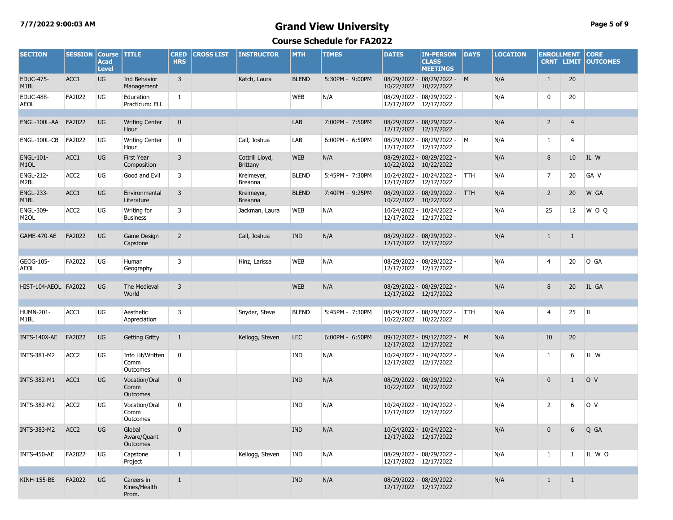# **7/7/2022 9:00:03 AM Grand View University Page 5 of 9**

| <b>SECTION</b>                        | <b>SESSION</b>   | <b>Course</b><br><b>Acad</b><br><b>Level</b> | <b>TITLE</b>                         | <b>CRED</b><br><b>HRS</b> | <b>CROSS LIST</b> | <b>INSTRUCTOR</b>                  | <b>MTH</b>   | <b>TIMES</b>    | <b>DATES</b>          | <b>IN-PERSON</b><br><b>CLASS</b><br><b>MEETINGS</b> | <b>DAYS</b> | <b>LOCATION</b> | <b>ENROLLMENT</b><br><b>CRNT LIMIT</b> |                | <b>CORE</b><br><b>OUTCOMES</b> |
|---------------------------------------|------------------|----------------------------------------------|--------------------------------------|---------------------------|-------------------|------------------------------------|--------------|-----------------|-----------------------|-----------------------------------------------------|-------------|-----------------|----------------------------------------|----------------|--------------------------------|
| <b>EDUC-475-</b><br>M <sub>1</sub> BL | ACC1             | UG                                           | Ind Behavior<br>Management           | $\overline{3}$            |                   | Katch, Laura                       | <b>BLEND</b> | 5:30PM - 9:00PM | 10/22/2022            | 08/29/2022 - 08/29/2022 - M<br>10/22/2022           |             | N/A             | $\mathbf{1}$                           | 20             |                                |
| <b>EDUC-488-</b><br><b>AEOL</b>       | FA2022           | UG                                           | Education<br>Practicum: ELL          | 1                         |                   |                                    | <b>WEB</b>   | N/A             | 12/17/2022 12/17/2022 | 08/29/2022 - 08/29/2022 -                           |             | N/A             | 0                                      | 20             |                                |
| ENGL-100L-AA                          | FA2022           | UG                                           | <b>Writing Center</b><br>Hour        | $\mathbf 0$               |                   |                                    | LAB          | 7:00PM - 7:50PM | 12/17/2022            | 08/29/2022 - 08/29/2022 -<br>12/17/2022             |             | N/A             | $\overline{2}$                         | $\overline{4}$ |                                |
| ENGL-100L-CB                          | FA2022           | UG                                           | <b>Writing Center</b><br>Hour        | 0                         |                   | Call, Joshua                       | LAB          | 6:00PM - 6:50PM | 12/17/2022 12/17/2022 | 08/29/2022 - 08/29/2022 - M                         |             | N/A             | 1                                      | 4              |                                |
| <b>ENGL-101-</b><br>M <sub>1</sub> OL | ACC1             | UG                                           | First Year<br>Composition            | 3                         |                   | Cottrill Lloyd,<br><b>Brittany</b> | <b>WEB</b>   | N/A             | 10/22/2022            | 08/29/2022 - 08/29/2022 -<br>10/22/2022             |             | N/A             | 8                                      | 10             | IL W                           |
| <b>ENGL-212-</b><br>M2BL              | ACC <sub>2</sub> | UG                                           | Good and Evil                        | 3                         |                   | Kreimeyer,<br>Breanna              | <b>BLEND</b> | 5:45PM - 7:30PM | 12/17/2022            | 10/24/2022 - 10/24/2022 -<br>12/17/2022             | <b>TTH</b>  | N/A             | $\overline{7}$                         | 20             | GA V                           |
| <b>ENGL-233-</b><br>M <sub>1</sub> BL | ACC1             | UG                                           | Environmental<br>Literature          | 3                         |                   | Kreimeyer,<br>Breanna              | <b>BLEND</b> | 7:40PM - 9:25PM | 10/22/2022 10/22/2022 | 08/29/2022 - 08/29/2022 - TTH                       |             | N/A             | $\overline{2}$                         | 20             | W GA                           |
| <b>ENGL-309-</b><br>M <sub>2</sub> OL | ACC <sub>2</sub> | UG                                           | Writing for<br><b>Business</b>       | 3                         |                   | Jackman, Laura                     | <b>WEB</b>   | N/A             | 12/17/2022 12/17/2022 | 10/24/2022 - 10/24/2022 -                           |             | N/A             | 25                                     | 12             | W O Q                          |
| GAME-470-AE                           | FA2022           | UG                                           | Game Design<br>Capstone              | $\overline{2}$            |                   | Call, Joshua                       | <b>IND</b>   | N/A             | 12/17/2022 12/17/2022 | 08/29/2022 - 08/29/2022 -                           |             | N/A             | $\mathbf{1}$                           | $\mathbf{1}$   |                                |
| GEOG-105-<br><b>AEOL</b>              | FA2022           | UG                                           | Human<br>Geography                   | 3                         |                   | Hinz, Larissa                      | <b>WEB</b>   | N/A             | 12/17/2022 12/17/2022 | 08/29/2022 - 08/29/2022 -                           |             | N/A             | 4                                      | 20             | O GA                           |
| HIST-104-AEOL FA2022                  |                  | UG                                           | The Medieval<br>World                | 3                         |                   |                                    | <b>WEB</b>   | N/A             | 12/17/2022 12/17/2022 | 08/29/2022 - 08/29/2022 -                           |             | N/A             | 8                                      | 20             | IL GA                          |
| HUMN-201-<br>M1BL                     | ACC1             | UG                                           | Aesthetic<br>Appreciation            | 3                         |                   | Snyder, Steve                      | <b>BLEND</b> | 5:45PM - 7:30PM | 10/22/2022 10/22/2022 | 08/29/2022 - 08/29/2022 -                           | <b>TTH</b>  | N/A             | 4                                      | 25             | IL                             |
| INTS-140X-AE                          | FA2022           | UG                                           | <b>Getting Gritty</b>                | $\mathbf{1}$              |                   | Kellogg, Steven                    | <b>LEC</b>   | 6:00PM - 6:50PM | 12/17/2022 12/17/2022 | 09/12/2022 - 09/12/2022 - M                         |             | N/A             | 10                                     | 20             |                                |
| INTS-381-M2                           | ACC <sub>2</sub> | UG                                           | Info Lit/Written<br>Comm<br>Outcomes | 0                         |                   |                                    | IND          | N/A             | 12/17/2022            | 10/24/2022 - 10/24/2022 -<br>12/17/2022             |             | N/A             | 1                                      | 6              | IL W                           |
| <b>INTS-382-M1</b>                    | ACC1             | UG                                           | Vocation/Oral<br>Comm<br>Outcomes    | $\mathbf{0}$              |                   |                                    | <b>IND</b>   | N/A             | 10/22/2022 10/22/2022 | 08/29/2022 - 08/29/2022 -                           |             | N/A             | $\mathbf 0$                            | $\mathbf{1}$   | O V                            |
| <b>INTS-382-M2</b>                    | ACC <sub>2</sub> | UG                                           | Vocation/Oral<br>Comm<br>Outcomes    | 0                         |                   |                                    | IND          | N/A             | 12/17/2022 12/17/2022 | 10/24/2022 - 10/24/2022 -                           |             | N/A             | $\overline{2}$                         | 6              | lo v                           |
| INTS-383-M2 ACC2                      |                  | UG                                           | Global<br>Aware/Quant<br>Outcomes    | $\Omega$                  |                   |                                    | <b>IND</b>   | N/A             | 12/17/2022 12/17/2022 | 10/24/2022 - 10/24/2022 -                           |             | N/A             | $\mathbf{0}$                           |                | 6 Q GA                         |
| INTS-450-AE                           | FA2022           | UG                                           | Capstone<br>Project                  | $\mathbf{1}$              |                   | Kellogg, Steven                    | <b>IND</b>   | N/A             | 12/17/2022 12/17/2022 | 08/29/2022 - 08/29/2022 -                           |             | N/A             | $\mathbf{1}$                           | $\mathbf{1}$   | IL WO                          |
| <b>KINH-155-BE</b>                    | FA2022           | <b>UG</b>                                    | Careers in<br>Kines/Health<br>Prom.  | $\mathbf{1}$              |                   |                                    | <b>IND</b>   | N/A             | 12/17/2022 12/17/2022 | 08/29/2022 - 08/29/2022 -                           |             | N/A             | $\mathbf{1}$                           | $\mathbf{1}$   |                                |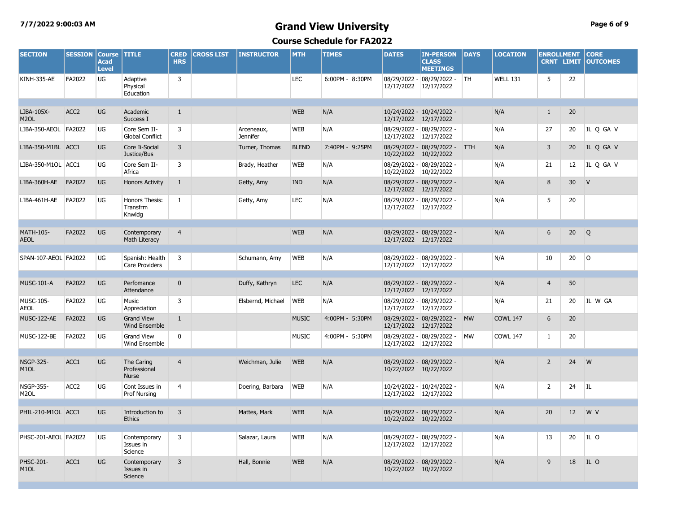# **7/7/2022 9:00:03 AM Grand View University Page 6 of 9**

| <b>SECTION</b>                        | <b>SESSION</b>   | <b>Course</b><br><b>Acad</b><br><b>Level</b> | <b>TITLE</b>                               | <b>CRED</b><br><b>HRS</b> | <b>CROSS LIST</b> | <b>INSTRUCTOR</b>             | <b>MTH</b>   | <b>TIMES</b>    | <b>DATES</b>          | <b>IN-PERSON</b><br><b>CLASS</b><br><b>MEETINGS</b> | <b>DAYS</b> | <b>LOCATION</b> | <b>ENROLLMENT</b><br><b>CRNT LIMIT</b> |                 | <b>CORE</b><br><b>OUTCOMES</b> |
|---------------------------------------|------------------|----------------------------------------------|--------------------------------------------|---------------------------|-------------------|-------------------------------|--------------|-----------------|-----------------------|-----------------------------------------------------|-------------|-----------------|----------------------------------------|-----------------|--------------------------------|
| KINH-335-AE                           | FA2022           | UG                                           | Adaptive<br>Physical<br>Education          | $\overline{3}$            |                   |                               | <b>LEC</b>   | 6:00PM - 8:30PM | 12/17/2022            | 08/29/2022 - 08/29/2022 -<br>12/17/2022             | <b>TH</b>   | <b>WELL 131</b> | 5                                      | 22              |                                |
| LIBA-105X-<br>M <sub>2</sub> OL       | ACC <sub>2</sub> | <b>UG</b>                                    | Academic<br>Success I                      | $\mathbf{1}$              |                   |                               | <b>WEB</b>   | N/A             | 12/17/2022 12/17/2022 | 10/24/2022 - 10/24/2022 -                           |             | N/A             | $\mathbf{1}$                           | 20              |                                |
| LIBA-350-AEOL                         | FA2022           | UG                                           | Core Sem II-<br><b>Global Conflict</b>     | 3                         |                   | Arceneaux,<br><b>Jennifer</b> | <b>WEB</b>   | N/A             | 12/17/2022 12/17/2022 | 08/29/2022 - 08/29/2022 -                           |             | N/A             | 27                                     | 20              | IL Q GA V                      |
| LIBA-350-M1BL ACC1                    |                  | <b>UG</b>                                    | Core Ii-Social<br>Justice/Bus              | 3                         |                   | Turner, Thomas                | <b>BLEND</b> | 7:40PM - 9:25PM | 10/22/2022 10/22/2022 | 08/29/2022 - 08/29/2022 -                           | <b>TTH</b>  | N/A             | $\overline{3}$                         | 20              | IL Q GA V                      |
| LIBA-350-M1OL ACC1                    |                  | UG                                           | Core Sem II-<br>Africa                     | 3                         |                   | Brady, Heather                | <b>WEB</b>   | N/A             | 10/22/2022 10/22/2022 | 08/29/2022 - 08/29/2022 -                           |             | N/A             | 21                                     | 12              | IL Q GA V                      |
| LIBA-360H-AE                          | FA2022           | <b>UG</b>                                    | <b>Honors Activity</b>                     | $\mathbf{1}$              |                   | Getty, Amy                    | <b>IND</b>   | N/A             | 12/17/2022 12/17/2022 | 08/29/2022 - 08/29/2022 -                           |             | N/A             | 8                                      | 30 <sup>°</sup> | $\mathsf{V}$                   |
| LIBA-461H-AE                          | FA2022           | UG                                           | Honors Thesis:<br>Transfrm<br>Knwlda       | 1                         |                   | Getty, Amy                    | <b>LEC</b>   | N/A             | 12/17/2022 12/17/2022 | 08/29/2022 - 08/29/2022 -                           |             | N/A             | 5                                      | 20              |                                |
| <b>MATH-105-</b>                      | FA2022           | <b>UG</b>                                    | Contemporary                               | $\overline{4}$            |                   |                               | <b>WEB</b>   | N/A             |                       | 08/29/2022 - 08/29/2022 -                           |             | N/A             | 6                                      | 20              | Q                              |
| <b>AEOL</b>                           |                  |                                              | Math Literacy                              |                           |                   |                               |              |                 | 12/17/2022 12/17/2022 |                                                     |             |                 |                                        |                 |                                |
| SPAN-107-AEOL FA2022                  |                  | <b>UG</b>                                    | Spanish: Health<br>Care Providers          | $\overline{3}$            |                   | Schumann, Amy                 | <b>WEB</b>   | N/A             | 12/17/2022 12/17/2022 | 08/29/2022 - 08/29/2022 -                           |             | N/A             | 10                                     | 20              | l O                            |
| <b>MUSC-101-A</b>                     | FA2022           | <b>UG</b>                                    | Perfomance<br>Attendance                   | $\mathbf{0}$              |                   | Duffy, Kathryn                | <b>LEC</b>   | N/A             | 12/17/2022 12/17/2022 | 08/29/2022 - 08/29/2022 -                           |             | N/A             | $\overline{4}$                         | 50              |                                |
| MUSC-105-<br><b>AEOL</b>              | FA2022           | UG                                           | Music<br>Appreciation                      | 3                         |                   | Elsbernd, Michael             | <b>WEB</b>   | N/A             | 12/17/2022 12/17/2022 | 08/29/2022 - 08/29/2022 -                           |             | N/A             | 21                                     | 20              | IL W GA                        |
| MUSC-122-AE                           | FA2022           | <b>UG</b>                                    | <b>Grand View</b><br>Wind Ensemble         | $\mathbf{1}$              |                   |                               | <b>MUSIC</b> | 4:00PM - 5:30PM | 12/17/2022 12/17/2022 | 08/29/2022 - 08/29/2022 -                           | <b>MW</b>   | <b>COWL 147</b> | 6                                      | 20              |                                |
| MUSC-122-BE                           | FA2022           | <b>UG</b>                                    | <b>Grand View</b><br>Wind Ensemble         | $\mathbf 0$               |                   |                               | <b>MUSIC</b> | 4:00PM - 5:30PM | 12/17/2022 12/17/2022 | 08/29/2022 - 08/29/2022 -                           | <b>MW</b>   | <b>COWL 147</b> | $\mathbf{1}$                           | 20              |                                |
|                                       |                  |                                              |                                            |                           |                   |                               |              |                 |                       |                                                     |             |                 |                                        |                 |                                |
| <b>NSGP-325-</b><br>M <sub>1</sub> OL | ACC1             | <b>UG</b>                                    | The Caring<br>Professional<br><b>Nurse</b> | $\overline{4}$            |                   | Weichman, Julie               | <b>WEB</b>   | N/A             | 10/22/2022 10/22/2022 | 08/29/2022 - 08/29/2022 -                           |             | N/A             | $\overline{2}$                         | 24              | W                              |
| <b>NSGP-355-</b><br>M <sub>2</sub> OL | ACC <sub>2</sub> | UG                                           | Cont Issues in<br>Prof Nursing             | 4                         |                   | Doering, Barbara              | <b>WEB</b>   | N/A             | 12/17/2022 12/17/2022 | 10/24/2022 - 10/24/2022 -                           |             | N/A             | $\mathbf{2}$                           | 24              | IL                             |
|                                       |                  |                                              |                                            |                           |                   |                               |              |                 |                       |                                                     |             |                 |                                        |                 |                                |
| PHIL-210-M1OL ACC1                    |                  | <b>UG</b>                                    | Introduction to<br><b>Ethics</b>           | $\overline{3}$            |                   | Mattes, Mark                  | <b>WEB</b>   | N/A             | 10/22/2022 10/22/2022 | 08/29/2022 - 08/29/2022 -                           |             | N/A             | 20                                     | 12              | W V                            |
| PHSC-201-AEOL FA2022                  |                  | UG                                           | Contemporary<br>Issues in<br>Science       | 3                         |                   | Salazar, Laura                | <b>WEB</b>   | N/A             | 12/17/2022 12/17/2022 | 08/29/2022 - 08/29/2022 -                           |             | N/A             | 13                                     | 20              | IL O                           |
| PHSC-201-<br>M <sub>1</sub> OL        | ACC1             | <b>UG</b>                                    | Contemporary<br>Issues in<br>Science       | 3                         |                   | Hall, Bonnie                  | <b>WEB</b>   | N/A             | 10/22/2022 10/22/2022 | 08/29/2022 - 08/29/2022 -                           |             | N/A             | 9                                      | 18              | IL O                           |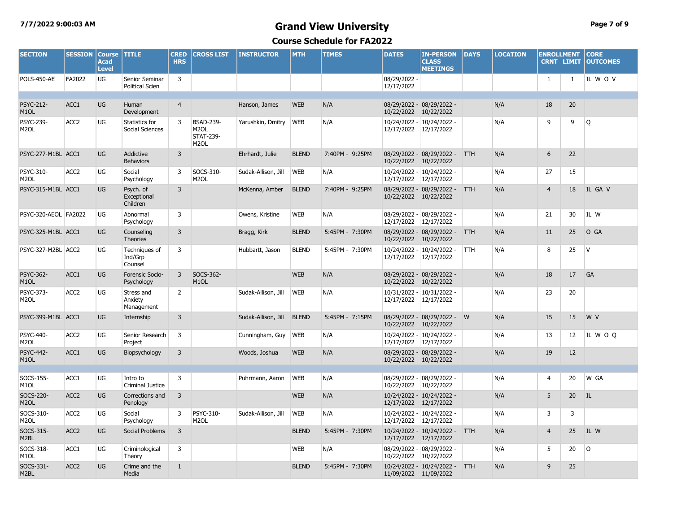# **7/7/2022 9:00:03 AM Grand View University Page 7 of 9**

| <b>SECTION</b>                        | <b>SESSION</b>   | <b>Course</b><br><b>Acad</b><br><b>Level</b> | <b>TITLE</b>                             | <b>CRED</b><br><b>HRS</b> | <b>CROSS LIST</b>                                                              | <b>INSTRUCTOR</b>   | <b>MTH</b>   | <b>TIMES</b>    | <b>DATES</b>                          | <b>IN-PERSON</b><br><b>CLASS</b><br><b>MEETINGS</b> | <b>DAYS</b> | <b>LOCATION</b> | <b>ENROLLMENT</b> | <b>CRNT LIMIT</b> | <b>CORE</b><br><b>OUTCOMES</b> |
|---------------------------------------|------------------|----------------------------------------------|------------------------------------------|---------------------------|--------------------------------------------------------------------------------|---------------------|--------------|-----------------|---------------------------------------|-----------------------------------------------------|-------------|-----------------|-------------------|-------------------|--------------------------------|
| POLS-450-AE                           | FA2022           | UG                                           | Senior Seminar<br><b>Political Scien</b> | 3                         |                                                                                |                     |              |                 | 08/29/2022 -<br>12/17/2022            |                                                     |             |                 | 1                 | $\mathbf{1}$      | IL WOV                         |
|                                       |                  |                                              |                                          |                           |                                                                                |                     |              |                 |                                       |                                                     |             |                 |                   |                   |                                |
| <b>PSYC-212-</b><br>M <sub>1</sub> OL | ACC1             | UG                                           | Human<br>Development                     | $\overline{4}$            |                                                                                | Hanson, James       | <b>WEB</b>   | N/A             | 10/22/2022                            | 08/29/2022 - 08/29/2022 -<br>10/22/2022             |             | N/A             | 18                | 20                |                                |
| PSYC-239-<br>M <sub>2</sub> OL        | ACC <sub>2</sub> | UG                                           | Statistics for<br>Social Sciences        | 3                         | <b>BSAD-239-</b><br>M <sub>2</sub> OL<br><b>STAT-239-</b><br>M <sub>2</sub> OL | Yarushkin, Dmitry   | <b>WEB</b>   | N/A             | 10/24/2022 -<br>12/17/2022 12/17/2022 | 10/24/2022 -                                        |             | N/A             | 9                 | 9                 | Q                              |
| PSYC-277-M1BL ACC1                    |                  | UG                                           | Addictive<br><b>Behaviors</b>            | $\overline{3}$            |                                                                                | Ehrhardt, Julie     | <b>BLEND</b> | 7:40PM - 9:25PM | 10/22/2022 10/22/2022                 | 08/29/2022 - 08/29/2022 - TTH                       |             | N/A             | 6                 | 22                |                                |
| PSYC-310-<br>M <sub>2</sub> OL        | ACC <sub>2</sub> | UG                                           | Social<br>Psychology                     | 3                         | SOCS-310-<br>M <sub>2</sub> OL                                                 | Sudak-Allison, Jill | <b>WEB</b>   | N/A             | 12/17/2022 12/17/2022                 | 10/24/2022 - 10/24/2022 -                           |             | N/A             | 27                | 15                |                                |
| PSYC-315-M1BL ACC1                    |                  | UG                                           | Psych. of<br>Exceptional<br>Children     | 3                         |                                                                                | McKenna, Amber      | <b>BLEND</b> | 7:40PM - 9:25PM | 10/22/2022                            | 08/29/2022 - 08/29/2022 -<br>10/22/2022             | <b>TTH</b>  | N/A             | $\overline{4}$    | 18                | IL GA V                        |
| PSYC-320-AEOL FA2022                  |                  | UG                                           | Abnormal<br>Psychology                   | 3                         |                                                                                | Owens, Kristine     | <b>WEB</b>   | N/A             | 12/17/2022                            | 08/29/2022 - 08/29/2022 -<br>12/17/2022             |             | N/A             | 21                | 30                | IL W                           |
| PSYC-325-M1BL ACC1                    |                  | UG                                           | Counseling<br><b>Theories</b>            | $\overline{3}$            |                                                                                | Bragg, Kirk         | <b>BLEND</b> | 5:45PM - 7:30PM | 10/22/2022 10/22/2022                 | 08/29/2022 - 08/29/2022 - TTH                       |             | N/A             | 11                | 25                | O GA                           |
| PSYC-327-M2BL ACC2                    |                  | UG                                           | Techniques of<br>Ind/Grp<br>Counsel      | 3                         |                                                                                | Hubbartt, Jason     | <b>BLEND</b> | 5:45PM - 7:30PM | 12/17/2022                            | 10/24/2022 - 10/24/2022 -<br>12/17/2022             | <b>TTH</b>  | N/A             | 8                 | 25                | IV.                            |
| <b>PSYC-362-</b><br>M <sub>1</sub> OL | ACC1             | UG                                           | Forensic Socio-<br>Psychology            | $\overline{3}$            | SOCS-362-<br>M <sub>1</sub> OL                                                 |                     | <b>WEB</b>   | N/A             | 10/22/2022 10/22/2022                 | 08/29/2022 - 08/29/2022 -                           |             | N/A             | 18                | 17                | GA                             |
| PSYC-373-<br>M <sub>2</sub> OL        | ACC <sub>2</sub> | UG                                           | Stress and<br>Anxiety<br>Management      | $\overline{2}$            |                                                                                | Sudak-Allison, Jill | <b>WEB</b>   | N/A             | 12/17/2022                            | 10/31/2022 - 10/31/2022 -<br>12/17/2022             |             | N/A             | 23                | 20                |                                |
| PSYC-399-M1BL ACC1                    |                  | UG                                           | Internship                               | $\overline{3}$            |                                                                                | Sudak-Allison, Jill | <b>BLEND</b> | 5:45PM - 7:15PM | 10/22/2022 10/22/2022                 | 08/29/2022 - 08/29/2022 - W                         |             | N/A             | 15                | 15                | W V                            |
| PSYC-440-<br>M <sub>2</sub> OL        | ACC <sub>2</sub> | UG                                           | Senior Research<br>Project               | 3                         |                                                                                | Cunningham, Guy     | <b>WEB</b>   | N/A             | 12/17/2022 12/17/2022                 | 10/24/2022 - 10/24/2022 -                           |             | N/A             | 13                | 12                | IL WOQ                         |
| <b>PSYC-442-</b><br>M <sub>1</sub> OL | ACC1             | UG                                           | Biopsychology                            | 3                         |                                                                                | Woods, Joshua       | <b>WEB</b>   | N/A             | 10/22/2022 10/22/2022                 | 08/29/2022 - 08/29/2022 -                           |             | N/A             | 19                | 12                |                                |
| SOCS-155-<br>M <sub>1</sub> OL        | ACC1             | UG                                           | Intro to<br>Criminal Justice             | 3                         |                                                                                | Puhrmann, Aaron     | <b>WEB</b>   | N/A             | 10/22/2022 10/22/2022                 | 08/29/2022 - 08/29/2022 -                           |             | N/A             | $\overline{4}$    | 20                | W GA                           |
| SOCS-220-<br>M <sub>2</sub> OL        | ACC <sub>2</sub> | UG                                           | Corrections and<br>Penology              | 3                         |                                                                                |                     | <b>WEB</b>   | N/A             | 12/17/2022                            | 10/24/2022 - 10/24/2022 -<br>12/17/2022             |             | N/A             | 5                 | 20                | IL                             |
| SOCS-310-<br>M <sub>2</sub> OL        | ACC <sub>2</sub> | UG                                           | Social<br>Psychology                     | 3                         | PSYC-310-<br>M <sub>2</sub> OL                                                 | Sudak-Allison, Jill | <b>WEB</b>   | N/A             | 12/17/2022                            | 10/24/2022 - 10/24/2022 -<br>12/17/2022             |             | N/A             | 3                 | 3                 |                                |
| SOCS-315-<br>M2BL                     | ACC <sub>2</sub> | UG                                           | <b>Social Problems</b>                   | $\overline{3}$            |                                                                                |                     | <b>BLEND</b> | 5:45PM - 7:30PM | 12/17/2022                            | 10/24/2022 - 10/24/2022 -<br>12/17/2022             | <b>TTH</b>  | N/A             | $\overline{4}$    | 25                | IL W                           |
| SOCS-318-<br>M <sub>1</sub> OL        | ACC1             | UG                                           | Criminological<br>Theory                 | 3                         |                                                                                |                     | <b>WEB</b>   | N/A             | 10/22/2022 10/22/2022                 | 08/29/2022 - 08/29/2022 -                           |             | N/A             | 5                 | 20                | $\circ$                        |
| SOCS-331-<br>M2BL                     | ACC <sub>2</sub> | UG                                           | Crime and the<br>Media                   | $\mathbf{1}$              |                                                                                |                     | <b>BLEND</b> | 5:45PM - 7:30PM | 11/09/2022 11/09/2022                 | 10/24/2022 - 10/24/2022 - TTH                       |             | N/A             | 9                 | 25                |                                |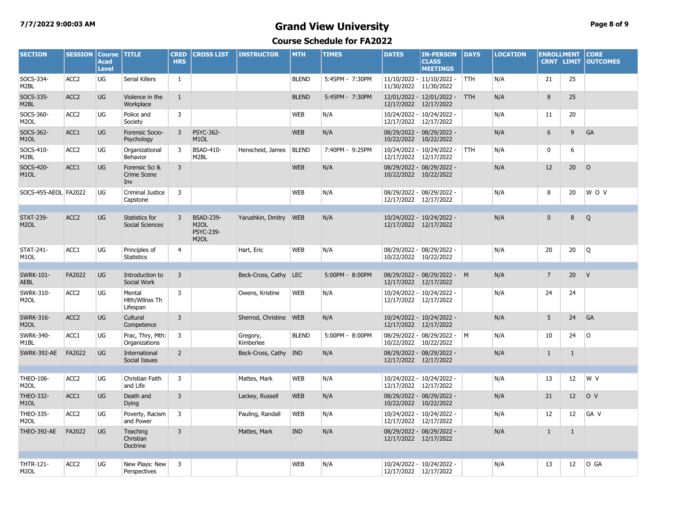# **7/7/2022 9:00:03 AM Grand View University Page 8 of 9**

| <b>SECTION</b>                        | <b>SESSION</b>   | <b>Course</b><br><b>Acad</b><br><b>Level</b> | <b>TITLE</b>                                | <b>CRED</b><br><b>HRS</b> | <b>CROSS LIST</b>                                                              | <b>INSTRUCTOR</b>      | <b>MTH</b>   | <b>TIMES</b>    | <b>DATES</b>               | <b>IN-PERSON</b><br><b>CLASS</b><br><b>MEETINGS</b> | <b>DAYS</b> | <b>LOCATION</b> | <b>ENROLLMENT</b><br><b>CRNT LIMIT</b> |                   | <b>CORE</b><br><b>OUTCOMES</b> |
|---------------------------------------|------------------|----------------------------------------------|---------------------------------------------|---------------------------|--------------------------------------------------------------------------------|------------------------|--------------|-----------------|----------------------------|-----------------------------------------------------|-------------|-----------------|----------------------------------------|-------------------|--------------------------------|
| SOCS-334-<br>M2BL                     | ACC <sub>2</sub> | UG                                           | Serial Killers                              | 1                         |                                                                                |                        | <b>BLEND</b> | 5:45PM - 7:30PM | 11/30/2022                 | 11/10/2022 - 11/10/2022 -<br>11/30/2022             | <b>TTH</b>  | N/A             | 21                                     | 25                |                                |
| SOCS-335-<br>M2BL                     | ACC <sub>2</sub> | <b>UG</b>                                    | Violence in the<br>Workplace                | $\mathbf{1}$              |                                                                                |                        | <b>BLEND</b> | 5:45PM - 7:30PM | 12/17/2022 12/17/2022      | 12/01/2022 - 12/01/2022 - TTH                       |             | N/A             | 8                                      | 25                |                                |
| SOCS-360-<br>M <sub>2</sub> OL        | ACC <sub>2</sub> | UG                                           | Police and<br>Society                       | 3                         |                                                                                |                        | <b>WEB</b>   | N/A             | 12/17/2022                 | 10/24/2022 - 10/24/2022 -<br>12/17/2022             |             | N/A             | 11                                     | 20                |                                |
| SOCS-362-<br>M <sub>1</sub> OL        | ACC1             | UG                                           | Forensic Socio-<br>Psychology               | 3                         | <b>PSYC-362-</b><br>M <sub>1</sub> OL                                          |                        | <b>WEB</b>   | N/A             | 10/22/2022                 | 08/29/2022 - 08/29/2022 -<br>10/22/2022             |             | N/A             | 6                                      | 9                 | GA                             |
| SOCS-410-<br>M2BL                     | ACC <sub>2</sub> | UG                                           | Organizational<br>Behavior                  | 3                         | <b>BSAD-410-</b><br>M <sub>2</sub> BL                                          | Henscheid, James       | <b>BLEND</b> | 7:40PM - 9:25PM | 12/17/2022 12/17/2022      | 10/24/2022 - 10/24/2022 -                           | <b>TTH</b>  | N/A             | $\mathbf 0$                            | 6                 |                                |
| SOCS-420-<br>M <sub>1</sub> OL        | ACC1             | <b>UG</b>                                    | Forensic Sci &<br><b>Crime Scene</b><br>Inv | 3                         |                                                                                |                        | <b>WEB</b>   | N/A             | 10/22/2022 10/22/2022      | 08/29/2022 - 08/29/2022 -                           |             | N/A             | 12                                     | 20                | $\circ$                        |
| SOCS-455-AEOL FA2022                  |                  | UG                                           | Criminal Justice<br>Capstone                | 3                         |                                                                                |                        | <b>WEB</b>   | N/A             | 12/17/2022 12/17/2022      | 08/29/2022 - 08/29/2022 -                           |             | N/A             | 8                                      | 20                | W O V                          |
| <b>STAT-239-</b><br>M <sub>2</sub> OL | ACC <sub>2</sub> | <b>UG</b>                                    | Statistics for<br>Social Sciences           | 3                         | <b>BSAD-239-</b><br>M <sub>2</sub> OL<br><b>PSYC-239-</b><br>M <sub>2</sub> OL | Yarushkin, Dmitry      | <b>WEB</b>   | N/A             | 12/17/2022 12/17/2022      | 10/24/2022 - 10/24/2022 -                           |             | N/A             | $\Omega$                               | 8                 | Q                              |
| <b>STAT-241-</b><br>M <sub>1</sub> OL | ACC1             | UG                                           | Principles of<br><b>Statistics</b>          | $\overline{4}$            |                                                                                | Hart, Eric             | <b>WEB</b>   | N/A             | 10/22/2022 10/22/2022      | 08/29/2022 - 08/29/2022 -                           |             | N/A             | 20                                     | 20                | Q                              |
|                                       |                  |                                              |                                             |                           |                                                                                |                        |              |                 |                            |                                                     |             |                 |                                        |                   |                                |
| <b>SWRK-101-</b><br><b>AEBL</b>       | FA2022           | <b>UG</b>                                    | Introduction to<br>Social Work              | 3                         |                                                                                | Beck-Cross, Cathy LEC  |              | 5:00PM - 8:00PM | 12/17/2022 12/17/2022      | 08/29/2022 - 08/29/2022 - M                         |             | N/A             | $\overline{7}$                         | 20                | V                              |
| <b>SWRK-310-</b><br>M <sub>2</sub> OL | ACC <sub>2</sub> | UG                                           | Mental<br>Hith/Wilnss Th<br>Lifespan        | 3                         |                                                                                | Owens, Kristine        | <b>WEB</b>   | N/A             | 10/24/2022 -<br>12/17/2022 | 10/24/2022 -<br>12/17/2022                          |             | N/A             | 24                                     | 24                |                                |
| <b>SWRK-316-</b><br>M <sub>2</sub> OL | ACC <sub>2</sub> | <b>UG</b>                                    | Cultural<br>Competence                      | $\overline{3}$            |                                                                                | Sherrod, Christine WEB |              | N/A             | 12/17/2022 12/17/2022      | 10/24/2022 - 10/24/2022 -                           |             | N/A             | 5                                      | 24                | GA                             |
| <b>SWRK-340-</b><br>M <sub>1</sub> BL | ACC1             | UG                                           | Prac, Thry, Mth:<br>Organizations           | 3                         |                                                                                | Gregory,<br>Kimberlee  | <b>BLEND</b> | 5:00PM - 8:00PM | 10/22/2022                 | 08/29/2022 - 08/29/2022 - M<br>10/22/2022           |             | N/A             | 10                                     | 24                | $\circ$                        |
| SWRK-392-AE                           | FA2022           | <b>UG</b>                                    | International<br>Social Issues              | $\overline{2}$            |                                                                                | Beck-Cross, Cathy      | <b>IND</b>   | N/A             | 12/17/2022 12/17/2022      | 08/29/2022 - 08/29/2022 -                           |             | N/A             | $\mathbf{1}$                           | $\mathbf{1}$      |                                |
| THEO-106-<br>M <sub>2</sub> OL        | ACC <sub>2</sub> | UG                                           | Christian Faith<br>and Life                 | 3                         |                                                                                | Mattes, Mark           | <b>WEB</b>   | N/A             | 12/17/2022                 | 10/24/2022 - 10/24/2022 -<br>12/17/2022             |             | N/A             | 13                                     | 12                | W V                            |
| THEO-332-<br>M <sub>1</sub> OL        | ACC1             | <b>UG</b>                                    | Death and<br><b>Dying</b>                   | 3                         |                                                                                | Lackey, Russell        | <b>WEB</b>   | N/A             | 10/22/2022 10/22/2022      | 08/29/2022 - 08/29/2022 -                           |             | N/A             | 21                                     | $12 \overline{ }$ | O <sub>V</sub>                 |
| THEO-335-<br>M <sub>2</sub> OL        | ACC <sub>2</sub> | UG                                           | Poverty, Racism<br>and Power                | 3                         |                                                                                | Pauling, Randall       | <b>WEB</b>   | N/A             | 12/17/2022                 | 10/24/2022 - 10/24/2022 -<br>12/17/2022             |             | N/A             | 12                                     | 12                | GA V                           |
| THEO-392-AE                           | FA2022           | <b>UG</b>                                    | Teaching<br>Christian<br>Doctrine           | 3                         |                                                                                | Mattes, Mark           | <b>IND</b>   | N/A             | 12/17/2022 12/17/2022      | 08/29/2022 - 08/29/2022 -                           |             | N/A             | $\mathbf{1}$                           | $\mathbf{1}$      |                                |
|                                       |                  |                                              |                                             |                           |                                                                                |                        |              |                 |                            |                                                     |             |                 |                                        |                   |                                |
| <b>THTR-121-</b><br>M <sub>2</sub> OL | ACC <sub>2</sub> | UG                                           | New Plays: New<br>Perspectives              | 3                         |                                                                                |                        | <b>WEB</b>   | N/A             | 12/17/2022 12/17/2022      | 10/24/2022 - 10/24/2022 -                           |             | N/A             | 13                                     | 12                | O GA                           |